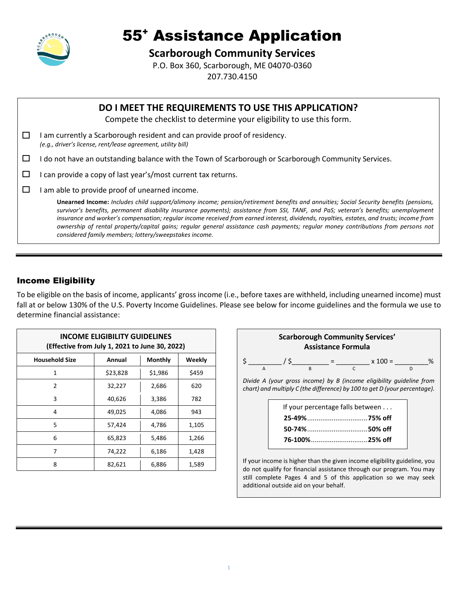

# 55<sup>+</sup> Assistance Application

### **Scarborough Community Services**

P.O. Box 360, Scarborough, ME 04070-0360 207.730.4150

|        | DO I MEET THE REQUIREMENTS TO USE THIS APPLICATION?<br>Compete the checklist to determine your eligibility to use this form.                                                                                                                                                                                                                                                                                                                                                                                                                                                                                               |
|--------|----------------------------------------------------------------------------------------------------------------------------------------------------------------------------------------------------------------------------------------------------------------------------------------------------------------------------------------------------------------------------------------------------------------------------------------------------------------------------------------------------------------------------------------------------------------------------------------------------------------------------|
|        | am currently a Scarborough resident and can provide proof of residency.<br>(e.g., driver's license, rent/lease agreement, utility bill)                                                                                                                                                                                                                                                                                                                                                                                                                                                                                    |
| ப      | I do not have an outstanding balance with the Town of Scarborough or Scarborough Community Services.                                                                                                                                                                                                                                                                                                                                                                                                                                                                                                                       |
| ⊔      | can provide a copy of last year's/most current tax returns.                                                                                                                                                                                                                                                                                                                                                                                                                                                                                                                                                                |
| $\Box$ | am able to provide proof of unearned income.                                                                                                                                                                                                                                                                                                                                                                                                                                                                                                                                                                               |
|        | Unearned Income: Includes child support/alimony income; pension/retirement benefits and annuities; Social Security benefits (pensions,<br>survivor's benefits, permanent disability insurance payments); assistance from SSI, TANF, and PaS; veteran's benefits; unemployment<br>insurance and worker's compensation; regular income received from earned interest, dividends, royalties, estates, and trusts; income from<br>ownership of rental property/capital gains; regular general assistance cash payments; regular money contributions from persons not<br>considered family members; lottery/sweepstakes income. |

### Income Eligibility

To be eligible on the basis of income, applicants' gross income (i.e., before taxes are withheld, including unearned income) must fall at or below 130% of the U.S. Poverty Income Guidelines. Please see below for income guidelines and the formula we use to determine financial assistance:

| <b>INCOME ELIGIBILITY GUIDELINES</b><br>(Effective from July 1, 2021 to June 30, 2022) |          |                |        |  |  |  |  |
|----------------------------------------------------------------------------------------|----------|----------------|--------|--|--|--|--|
| <b>Household Size</b>                                                                  | Annual   | <b>Monthly</b> | Weekly |  |  |  |  |
| 1                                                                                      | \$23,828 | \$1,986        | \$459  |  |  |  |  |
| 2                                                                                      | 32,227   | 2,686          | 620    |  |  |  |  |
| 3                                                                                      | 40,626   | 3,386          | 782    |  |  |  |  |
| 4                                                                                      | 49,025   | 4,086          | 943    |  |  |  |  |
| 5                                                                                      | 57,424   | 4,786          | 1,105  |  |  |  |  |
| 6                                                                                      | 65,823   | 5,486          | 1,266  |  |  |  |  |
| 7                                                                                      | 74,222   | 6,186          | 1,428  |  |  |  |  |
| 8                                                                                      | 82,621   | 6,886          | 1,589  |  |  |  |  |



do not qualify for financial assistance through our program. You may still complete Pages 4 and 5 of this application so we may seek additional outside aid on your behalf.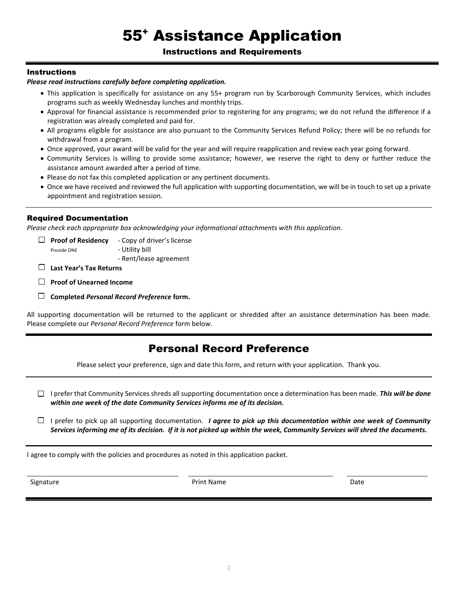# 55<sup>+</sup> Assistance Application

### Instructions and Requirements

### **Instructions**

### *Please read instructions carefully before completing application.*

- This application is specifically for assistance on any 55+ program run by Scarborough Community Services, which includes programs such as weekly Wednesday lunches and monthly trips.
- Approval for financial assistance is recommended prior to registering for any programs; we do not refund the difference if a registration was already completed and paid for.
- All programs eligible for assistance are also pursuant to the Community Services Refund Policy; there will be no refunds for withdrawal from a program.
- Once approved, your award will be valid for the year and will require reapplication and review each year going forward.
- Community Services is willing to provide some assistance; however, we reserve the right to deny or further reduce the assistance amount awarded after a period of time.
- Please do not fax this completed application or any pertinent documents.
- Once we have received and reviewed the full application with supporting documentation, we will be in touch to set up a private appointment and registration session.

### Required Documentation

*Please check each appropriate box acknowledging your informational attachments with this application.*

**Proof of Residency** - Copy of driver's license Provide ONE - Utility bill

- Rent/lease agreement

**Last Year's Tax Returns**

**Proof of Unearned Income**

**Completed** *Personal Record Preference* **form.**

All supporting documentation will be returned to the applicant or shredded after an assistance determination has been made. Please complete our *Personal Record Preference* form below.

### Personal Record Preference

Please select your preference, sign and date this form, and return with your application. Thank you.

- I prefer that Community Services shreds all supporting documentation once a determination has been made. *This will be done within one week of the date Community Services informs me of its decision.*
- $\Box$  I prefer to pick up all supporting documentation. *I agree to pick up this documentation within one week of Community Services informing me of its decision. If it is not picked up within the week, Community Services will shred the documents.*

I agree to comply with the policies and procedures as noted in this application packet.

Signature **Print Name** Date **Print Name** Print Name **Date Date**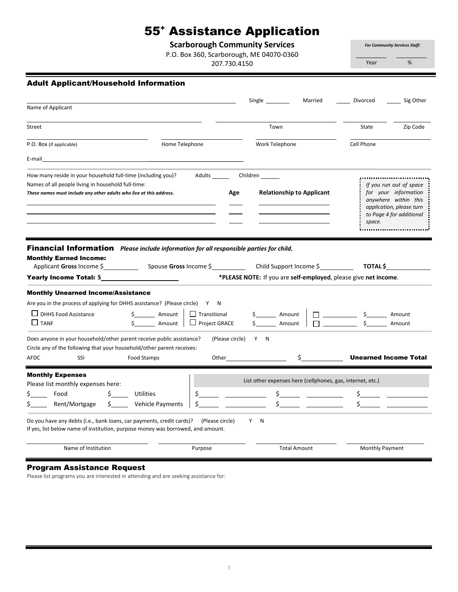## 55<sup>+</sup> Assistance Application

**Scarborough Community Services**

P.O. Box 360, Scarborough, ME 04070-0360

207.730.4150

*For Community Services Staff:* Year %

| <b>Adult Applicant/Household Information</b>                                                                                                                                              |                                                |                        |                                                                 |                              |                                                                                                                                 |  |
|-------------------------------------------------------------------------------------------------------------------------------------------------------------------------------------------|------------------------------------------------|------------------------|-----------------------------------------------------------------|------------------------------|---------------------------------------------------------------------------------------------------------------------------------|--|
|                                                                                                                                                                                           |                                                | Single _________       | Married                                                         | Divorced                     | Sig Other                                                                                                                       |  |
| Name of Applicant                                                                                                                                                                         |                                                |                        |                                                                 |                              |                                                                                                                                 |  |
| Street                                                                                                                                                                                    |                                                | Town                   |                                                                 | State                        | Zip Code                                                                                                                        |  |
| P.O. Box (if applicable)                                                                                                                                                                  | Home Telephone                                 |                        | Work Telephone                                                  |                              | Cell Phone                                                                                                                      |  |
| E-mail                                                                                                                                                                                    |                                                |                        |                                                                 |                              |                                                                                                                                 |  |
| How many reside in your household full-time (including you)?<br>Names of all people living in household full-time:<br>These names must include any other adults who live at this address. |                                                | Adults Children<br>Age | <b>Relationship to Applicant</b>                                | space.                       | If you run out of space<br>for your information<br>anywhere within this<br>application, please turn<br>to Page 4 for additional |  |
| Financial Information Please include information for all responsible parties for child.<br><b>Monthly Earned Income:</b><br>Applicant Gross Income \$<br>Yearly Income Total: \$          | Spouse Gross Income \$ Child Support Income \$ |                        | *PLEASE NOTE: If you are self-employed, please give net income. | TOTAL \$                     |                                                                                                                                 |  |
| <b>Monthly Unearned Income/Assistance</b>                                                                                                                                                 |                                                |                        |                                                                 |                              |                                                                                                                                 |  |
| Are you in the process of applying for DHHS assistance? (Please circle) Y                                                                                                                 | N                                              |                        |                                                                 |                              |                                                                                                                                 |  |
| $\Box$ DHHS Food Assistance<br>\$ Amount<br>$\Box$ TANF<br>Amount                                                                                                                         | $\Box$ Transitional<br>$\Box$ Project GRACE    | _____ Amount<br>Amount |                                                                 | $\sim$ 5<br>$\Box$ s         | Amount<br>Amount                                                                                                                |  |
| Does anyone in your household/other parent receive public assistance?<br>Circle any of the following that your household/other parent receives:<br>AFDC<br>SSI<br>Food Stamps             | Other                                          | (Please circle)<br>Y N | \$                                                              | <b>Unearned Income Total</b> |                                                                                                                                 |  |
| <b>Monthly Expenses</b>                                                                                                                                                                   |                                                |                        |                                                                 |                              |                                                                                                                                 |  |
| Please list monthly expenses here:                                                                                                                                                        |                                                |                        | List other expenses here (cellphones, gas, internet, etc.)      |                              |                                                                                                                                 |  |
| Food<br><b>Utilities</b>                                                                                                                                                                  | \$                                             | Ś.                     |                                                                 |                              |                                                                                                                                 |  |
| Rent/Mortgage<br>Vehicle Payments<br>S.                                                                                                                                                   |                                                |                        | \$                                                              | \$                           |                                                                                                                                 |  |
| Do you have any debts (i.e., bank loans, car payments, credit cards)? (Please circle)<br>If yes, list below name of institution, purpose money was borrowed, and amount.                  |                                                | Y N                    |                                                                 |                              |                                                                                                                                 |  |
| Name of Institution                                                                                                                                                                       | Purpose                                        |                        | <b>Total Amount</b>                                             | <b>Monthly Payment</b>       |                                                                                                                                 |  |

### Program Assistance Request

Please list programs you are interested in attending and are seeking assistance for: